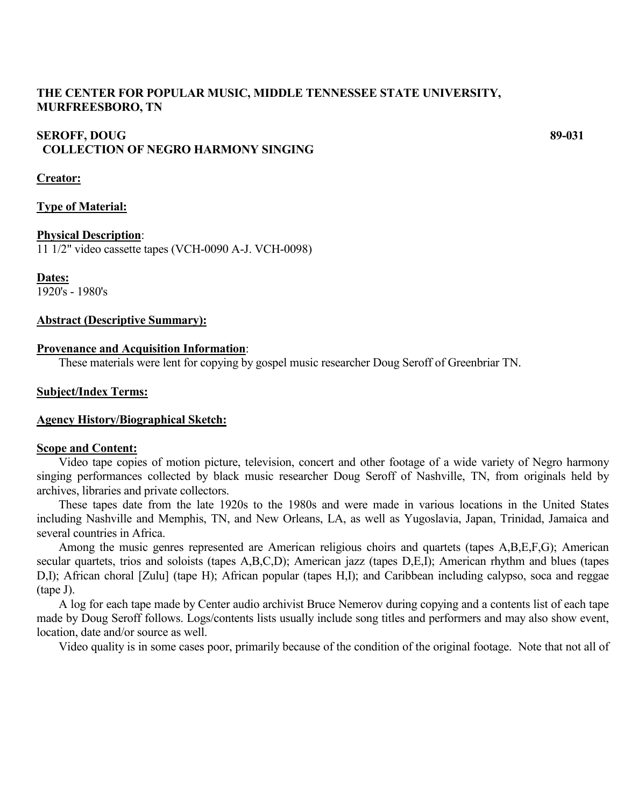## **THE CENTER FOR POPULAR MUSIC, MIDDLE TENNESSEE STATE UNIVERSITY, MURFREESBORO, TN**

## **SEROFF, DOUG** 89-031  **COLLECTION OF NEGRO HARMONY SINGING**

#### **Creator:**

## **Type of Material:**

#### **Physical Description**:

11 1/2" video cassette tapes (VCH-0090 A-J. VCH-0098)

**Dates:**

1920's - 1980's

## **Abstract (Descriptive Summary):**

## **Provenance and Acquisition Information**:

These materials were lent for copying by gospel music researcher Doug Seroff of Greenbriar TN.

## **Subject/Index Terms:**

#### **Agency History/Biographical Sketch:**

#### **Scope and Content:**

Video tape copies of motion picture, television, concert and other footage of a wide variety of Negro harmony singing performances collected by black music researcher Doug Seroff of Nashville, TN, from originals held by archives, libraries and private collectors.

These tapes date from the late 1920s to the 1980s and were made in various locations in the United States including Nashville and Memphis, TN, and New Orleans, LA, as well as Yugoslavia, Japan, Trinidad, Jamaica and several countries in Africa.

Among the music genres represented are American religious choirs and quartets (tapes A,B,E,F,G); American secular quartets, trios and soloists (tapes A,B,C,D); American jazz (tapes D,E,I); American rhythm and blues (tapes D,I); African choral [Zulu] (tape H); African popular (tapes H,I); and Caribbean including calypso, soca and reggae (tape J).

A log for each tape made by Center audio archivist Bruce Nemerov during copying and a contents list of each tape made by Doug Seroff follows. Logs/contents lists usually include song titles and performers and may also show event, location, date and/or source as well.

Video quality is in some cases poor, primarily because of the condition of the original footage. Note that not all of